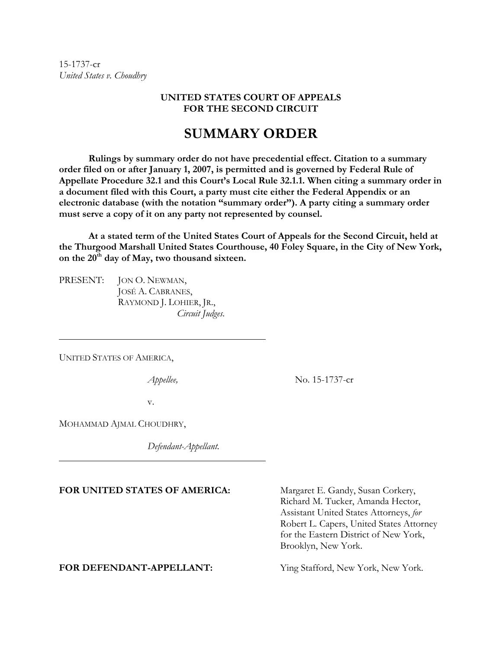15-1737-cr *United States v. Choudhry*

### **UNITED STATES COURT OF APPEALS FOR THE SECOND CIRCUIT**

# **SUMMARY ORDER**

**Rulings by summary order do not have precedential effect. Citation to a summary order filed on or after January 1, 2007, is permitted and is governed by Federal Rule of Appellate Procedure 32.1 and this Court's Local Rule 32.1.1. When citing a summary order in a document filed with this Court, a party must cite either the Federal Appendix or an electronic database (with the notation "summary order"). A party citing a summary order must serve a copy of it on any party not represented by counsel.** 

**At a stated term of the United States Court of Appeals for the Second Circuit, held at the Thurgood Marshall United States Courthouse, 40 Foley Square, in the City of New York,**  on the 20<sup>th</sup> day of May, two thousand sixteen.

PRESENT: JON O. NEWMAN, JOSÉ A. CABRANES, RAYMOND J. LOHIER, JR., *Circuit Judges.* 

UNITED STATES OF AMERICA,

 $\overline{a}$ 

l

*Appellee,* No. 15-1737-cr

v.

MOHAMMAD AJMAL CHOUDHRY,

*Defendant-Appellant.*

#### FOR UNITED STATES OF AMERICA: Margaret E. Gandy, Susan Corkery,

Richard M. Tucker, Amanda Hector, Assistant United States Attorneys, *for*  Robert L. Capers, United States Attorney for the Eastern District of New York, Brooklyn, New York.

**FOR DEFENDANT-APPELLANT:** Ying Stafford, New York, New York*.*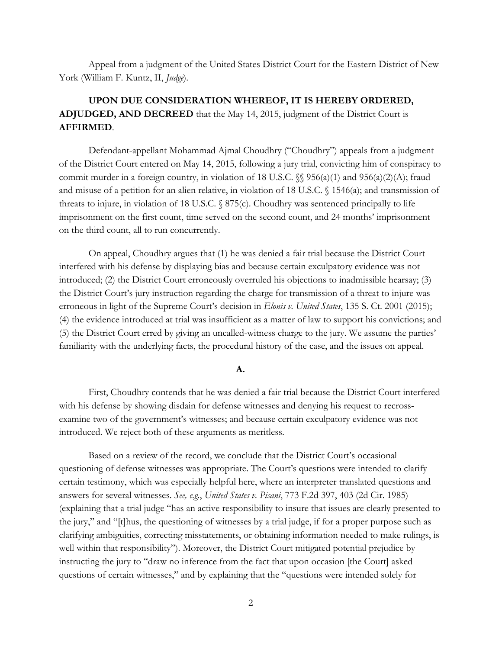Appeal from a judgment of the United States District Court for the Eastern District of New York (William F. Kuntz, II, *Judge*).

## **UPON DUE CONSIDERATION WHEREOF, IT IS HEREBY ORDERED, ADJUDGED, AND DECREED** that the May 14, 2015, judgment of the District Court is **AFFIRMED**.

Defendant-appellant Mohammad Ajmal Choudhry ("Choudhry") appeals from a judgment of the District Court entered on May 14, 2015, following a jury trial, convicting him of conspiracy to commit murder in a foreign country, in violation of 18 U.S.C.  $\mathcal{S}$  956(a)(1) and 956(a)(2)(A); fraud and misuse of a petition for an alien relative, in violation of 18 U.S.C. § 1546(a); and transmission of threats to injure, in violation of 18 U.S.C. § 875(c). Choudhry was sentenced principally to life imprisonment on the first count, time served on the second count, and 24 months' imprisonment on the third count, all to run concurrently.

On appeal, Choudhry argues that (1) he was denied a fair trial because the District Court interfered with his defense by displaying bias and because certain exculpatory evidence was not introduced; (2) the District Court erroneously overruled his objections to inadmissible hearsay; (3) the District Court's jury instruction regarding the charge for transmission of a threat to injure was erroneous in light of the Supreme Court's decision in *Elonis v. United States*, 135 S. Ct. 2001 (2015); (4) the evidence introduced at trial was insufficient as a matter of law to support his convictions; and (5) the District Court erred by giving an uncalled-witness charge to the jury. We assume the parties' familiarity with the underlying facts, the procedural history of the case, and the issues on appeal.

#### **A.**

First, Choudhry contends that he was denied a fair trial because the District Court interfered with his defense by showing disdain for defense witnesses and denying his request to recrossexamine two of the government's witnesses; and because certain exculpatory evidence was not introduced. We reject both of these arguments as meritless.

Based on a review of the record, we conclude that the District Court's occasional questioning of defense witnesses was appropriate. The Court's questions were intended to clarify certain testimony, which was especially helpful here, where an interpreter translated questions and answers for several witnesses. *See, e.g.*, *United States v. Pisani*, 773 F.2d 397, 403 (2d Cir. 1985) (explaining that a trial judge "has an active responsibility to insure that issues are clearly presented to the jury," and "[t]hus, the questioning of witnesses by a trial judge, if for a proper purpose such as clarifying ambiguities, correcting misstatements, or obtaining information needed to make rulings, is well within that responsibility"). Moreover, the District Court mitigated potential prejudice by instructing the jury to "draw no inference from the fact that upon occasion [the Court] asked questions of certain witnesses," and by explaining that the "questions were intended solely for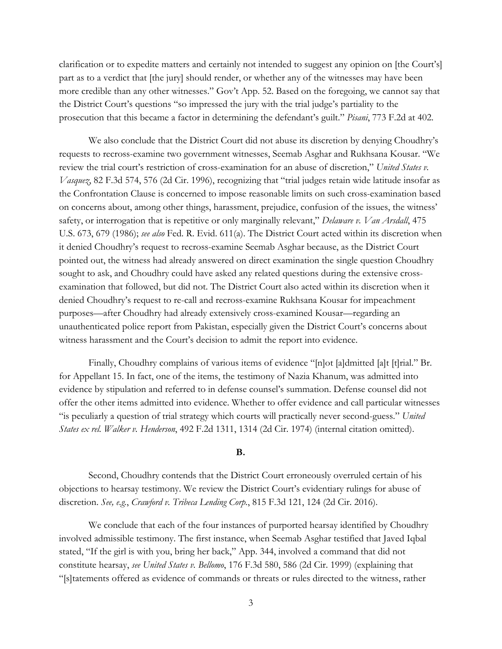clarification or to expedite matters and certainly not intended to suggest any opinion on [the Court's] part as to a verdict that [the jury] should render, or whether any of the witnesses may have been more credible than any other witnesses." Gov't App. 52. Based on the foregoing, we cannot say that the District Court's questions "so impressed the jury with the trial judge's partiality to the prosecution that this became a factor in determining the defendant's guilt." *Pisani*, 773 F.2d at 402.

We also conclude that the District Court did not abuse its discretion by denying Choudhry's requests to recross-examine two government witnesses, Seemab Asghar and Rukhsana Kousar. "We review the trial court's restriction of cross-examination for an abuse of discretion," *United States v. Vasquez*, 82 F.3d 574, 576 (2d Cir. 1996), recognizing that "trial judges retain wide latitude insofar as the Confrontation Clause is concerned to impose reasonable limits on such cross-examination based on concerns about, among other things, harassment, prejudice, confusion of the issues, the witness' safety, or interrogation that is repetitive or only marginally relevant," *Delaware v. Van Arsdall*, 475 U.S. 673, 679 (1986); *see also* Fed. R. Evid. 611(a). The District Court acted within its discretion when it denied Choudhry's request to recross-examine Seemab Asghar because, as the District Court pointed out, the witness had already answered on direct examination the single question Choudhry sought to ask, and Choudhry could have asked any related questions during the extensive crossexamination that followed, but did not. The District Court also acted within its discretion when it denied Choudhry's request to re-call and recross-examine Rukhsana Kousar for impeachment purposes—after Choudhry had already extensively cross-examined Kousar—regarding an unauthenticated police report from Pakistan, especially given the District Court's concerns about witness harassment and the Court's decision to admit the report into evidence.

Finally, Choudhry complains of various items of evidence "[n]ot [a]dmitted [a]t [t]rial." Br. for Appellant 15. In fact, one of the items, the testimony of Nazia Khanum, was admitted into evidence by stipulation and referred to in defense counsel's summation. Defense counsel did not offer the other items admitted into evidence. Whether to offer evidence and call particular witnesses "is peculiarly a question of trial strategy which courts will practically never second-guess." *United States ex rel. Walker v. Henderson*, 492 F.2d 1311, 1314 (2d Cir. 1974) (internal citation omitted).

#### **B.**

Second, Choudhry contends that the District Court erroneously overruled certain of his objections to hearsay testimony. We review the District Court's evidentiary rulings for abuse of discretion. *See, e.g.*, *Crawford v. Tribeca Lending Corp.*, 815 F.3d 121, 124 (2d Cir. 2016).

We conclude that each of the four instances of purported hearsay identified by Choudhry involved admissible testimony. The first instance, when Seemab Asghar testified that Javed Iqbal stated, "If the girl is with you, bring her back," App. 344, involved a command that did not constitute hearsay, *see United States v. Bellomo*, 176 F.3d 580, 586 (2d Cir. 1999) (explaining that "[s]tatements offered as evidence of commands or threats or rules directed to the witness, rather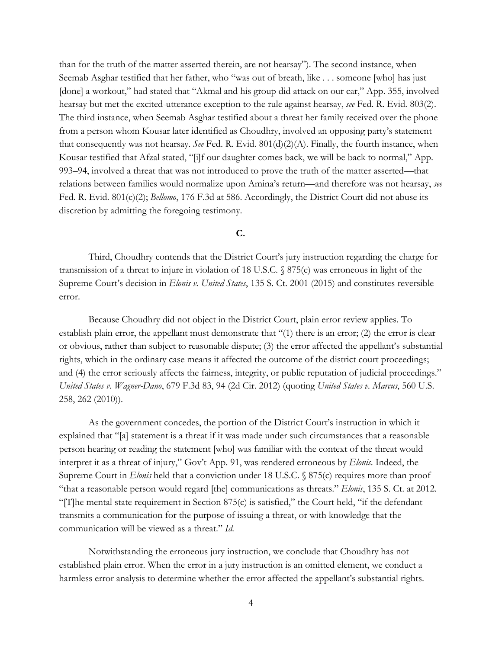than for the truth of the matter asserted therein, are not hearsay"). The second instance, when Seemab Asghar testified that her father, who "was out of breath, like . . . someone [who] has just [done] a workout," had stated that "Akmal and his group did attack on our car," App. 355, involved hearsay but met the excited-utterance exception to the rule against hearsay, *see* Fed. R. Evid. 803(2). The third instance, when Seemab Asghar testified about a threat her family received over the phone from a person whom Kousar later identified as Choudhry, involved an opposing party's statement that consequently was not hearsay. *See* Fed. R. Evid. 801(d)(2)(A). Finally, the fourth instance, when Kousar testified that Afzal stated, "[i]f our daughter comes back, we will be back to normal," App. 993–94, involved a threat that was not introduced to prove the truth of the matter asserted—that relations between families would normalize upon Amina's return—and therefore was not hearsay, *see*  Fed. R. Evid. 801(c)(2); *Bellomo*, 176 F.3d at 586. Accordingly, the District Court did not abuse its discretion by admitting the foregoing testimony.

#### **C.**

Third, Choudhry contends that the District Court's jury instruction regarding the charge for transmission of a threat to injure in violation of 18 U.S.C. § 875(c) was erroneous in light of the Supreme Court's decision in *Elonis v. United States*, 135 S. Ct. 2001 (2015) and constitutes reversible error.

Because Choudhry did not object in the District Court, plain error review applies. To establish plain error, the appellant must demonstrate that "(1) there is an error; (2) the error is clear or obvious, rather than subject to reasonable dispute; (3) the error affected the appellant's substantial rights, which in the ordinary case means it affected the outcome of the district court proceedings; and (4) the error seriously affects the fairness, integrity, or public reputation of judicial proceedings." *United States v. Wagner-Dano*, 679 F.3d 83, 94 (2d Cir. 2012) (quoting *United States v. Marcus*, 560 U.S. 258, 262 (2010)).

As the government concedes, the portion of the District Court's instruction in which it explained that "[a] statement is a threat if it was made under such circumstances that a reasonable person hearing or reading the statement [who] was familiar with the context of the threat would interpret it as a threat of injury," Gov't App. 91, was rendered erroneous by *Elonis*. Indeed, the Supreme Court in *Elonis* held that a conviction under 18 U.S.C. § 875(c) requires more than proof "that a reasonable person would regard [the] communications as threats." *Elonis*, 135 S. Ct. at 2012. "[T]he mental state requirement in Section 875(c) is satisfied," the Court held, "if the defendant transmits a communication for the purpose of issuing a threat, or with knowledge that the communication will be viewed as a threat." *Id.* 

Notwithstanding the erroneous jury instruction, we conclude that Choudhry has not established plain error. When the error in a jury instruction is an omitted element, we conduct a harmless error analysis to determine whether the error affected the appellant's substantial rights.